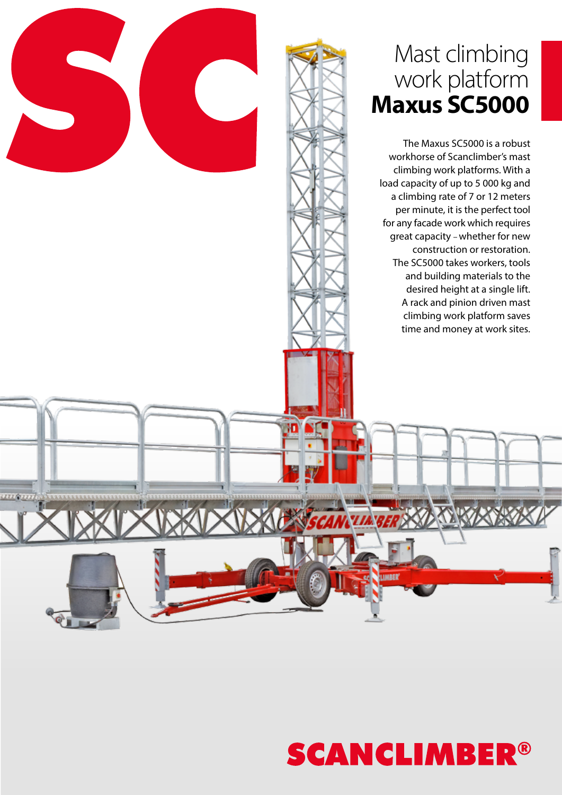### Mast climbing work platform **Maxus SC5000**

The Maxus SC5000 is a robust workhorse of Scanclimber's mast climbing work platforms. With a load capacity of up to 5 000 kg and a climbing rate of 7 or 12 meters per minute, it is the perfect tool for any facade work which requires great capacity – whether for new construction or restoration. The SC5000 takes workers, tools and building materials to the desired height at a single lift. A rack and pinion driven mast climbing work platform saves time and money at work sites.



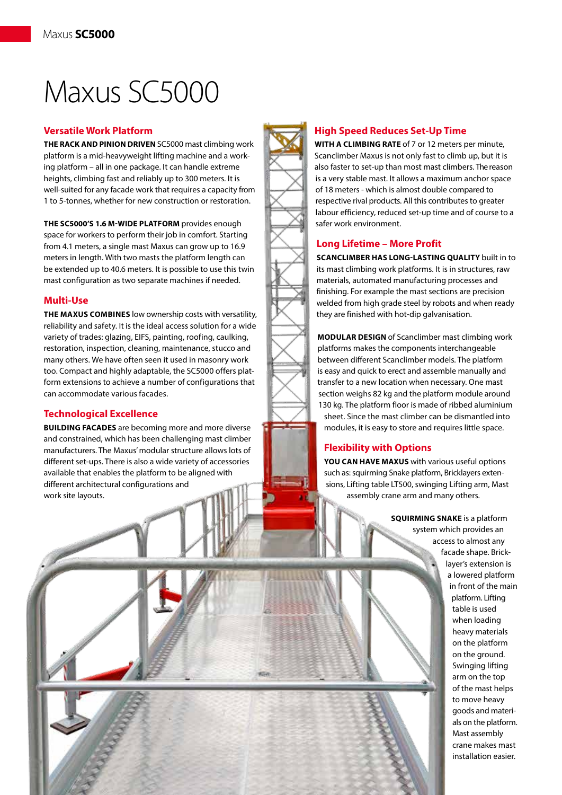# Maxus SC5000

#### **Versatile Work Platform**

**THE RACK AND PINION DRIVEN** SC5000 mast climbing work platform is a mid-heavyweight lifting machine and a working platform – all in one package. It can handle extreme heights, climbing fast and reliably up to 300 meters. It is well-suited for any facade work that requires a capacity from 1 to 5-tonnes, whether for new construction or restoration.

**THE SC5000'S 1.6 M-WIDE PLATFORM** provides enough space for workers to perform their job in comfort. Starting from 4.1 meters, a single mast Maxus can grow up to 16.9 meters in length. With two masts the platform length can be extended up to 40.6 meters. It is possible to use this twin mast configuration as two separate machines if needed.

#### **Multi-Use**

**THE MAXUS COMBINES** low ownership costs with versatility, reliability and safety. It is the ideal access solution for a wide variety of trades: glazing, EIFS, painting, roofing, caulking, restoration, inspection, cleaning, maintenance, stucco and many others. We have often seen it used in masonry work too. Compact and highly adaptable, the SC5000 offers platform extensions to achieve a number of configurations that can accommodate various facades.

#### **Technological Excellence**

**BUILDING FACADES** are becoming more and more diverse and constrained, which has been challenging mast climber manufacturers. The Maxus' modular structure allows lots of different set-ups. There is also a wide variety of accessories available that enables the platform to be aligned with different architectural configurations and work site layouts.

#### **High Speed Reduces Set-Up Time**

**WITH A CLIMBING RATE** of 7 or 12 meters per minute, Scanclimber Maxus is not only fast to climb up, but it is also faster to set-up than most mast climbers. The reason is a very stable mast. It allows a maximum anchor space of 18 meters - which is almost double compared to respective rival products. All this contributes to greater labour efficiency, reduced set-up time and of course to a safer work environment.

#### **Long Lifetime – More Profit**

**SCANCLIMBER HAS LONG-LASTING QUALITY** built in to its mast climbing work platforms. It is in structures, raw materials, automated manufacturing processes and finishing. For example the mast sections are precision welded from high grade steel by robots and when ready they are finished with hot-dip galvanisation.

**MODULAR DESIGN** of Scanclimber mast climbing work platforms makes the components interchangeable between different Scanclimber models. The platform is easy and quick to erect and assemble manually and transfer to a new location when necessary. One mast section weighs 82 kg and the platform module around 130 kg. The platform floor is made of ribbed aluminium sheet. Since the mast climber can be dismantled into modules, it is easy to store and requires little space.

#### **Flexibility with Options**

**YOU CAN HAVE MAXUS** with various useful options such as: squirming Snake platform, Bricklayers extensions, Lifting table LT500, swinging Lifting arm, Mast assembly crane arm and many others.

> **SQUIRMING SNAKE** is a platform system which provides an access to almost any facade shape. Bricklayer's extension is a lowered platform in front of the main platform. Lifting table is used when loading heavy materials on the platform on the ground. Swinging lifting arm on the top of the mast helps to move heavy goods and materials on the platform. Mast assembly crane makes mast installation easier.

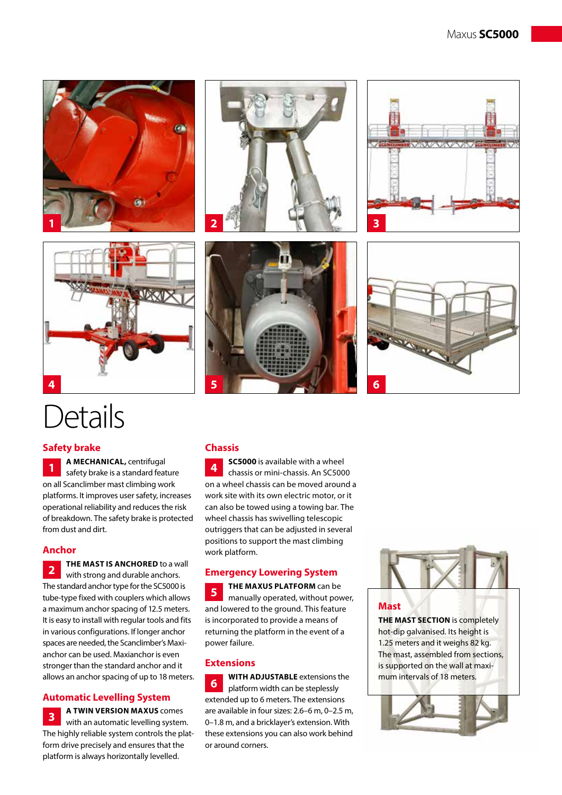



## Details

#### **Safety brake**

**A MECHANICAL,** centrifugal safety brake is a standard feature on all Scanclimber mast climbing work platforms. It improves user safety, increases operational reliability and reduces the risk of breakdown. The safety brake is protected from dust and dirt. **1**

#### **Anchor**

**THE MAST IS ANCHORED** to a wall with strong and durable anchors. The standard anchor type for the SC5000 is tube-type fixed with couplers which allows a maximum anchor spacing of 12.5 meters. It is easy to install with regular tools and fits in various configurations. If longer anchor spaces are needed, the Scanclimber's Maxianchor can be used. Maxianchor is even stronger than the standard anchor and it allows an anchor spacing of up to 18 meters. **2**

#### **Automatic Levelling System**

**A TWIN VERSION MAXUS** comes with an automatic levelling system. The highly reliable system controls the platform drive precisely and ensures that the platform is always horizontally levelled. **3**

#### **Chassis**

**SC5000** is available with a wheel chassis or mini-chassis. An SC5000 on a wheel chassis can be moved around a work site with its own electric motor, or it can also be towed using a towing bar. The wheel chassis has swivelling telescopic outriggers that can be adjusted in several positions to support the mast climbing work platform. **4**

#### **Emergency Lowering System**

**THE MAXUS PLATFORM** can be manually operated, without power, and lowered to the ground. This feature is incorporated to provide a means of returning the platform in the event of a power failure. **5**

#### **Extensions**

**WITH ADJUSTABLE** extensions the platform width can be steplessly extended up to 6 meters. The extensions are available in four sizes: 2.6–6 m, 0–2.5 m, 0–1.8 m, and a bricklayer's extension. With these extensions you can also work behind or around corners. **6**



#### **Mast**

**THE MAST SECTION** is completely hot-dip galvanised. Its height is 1.25 meters and it weighs 82 kg. The mast, assembled from sections, is supported on the wall at maximum intervals of 18 meters.